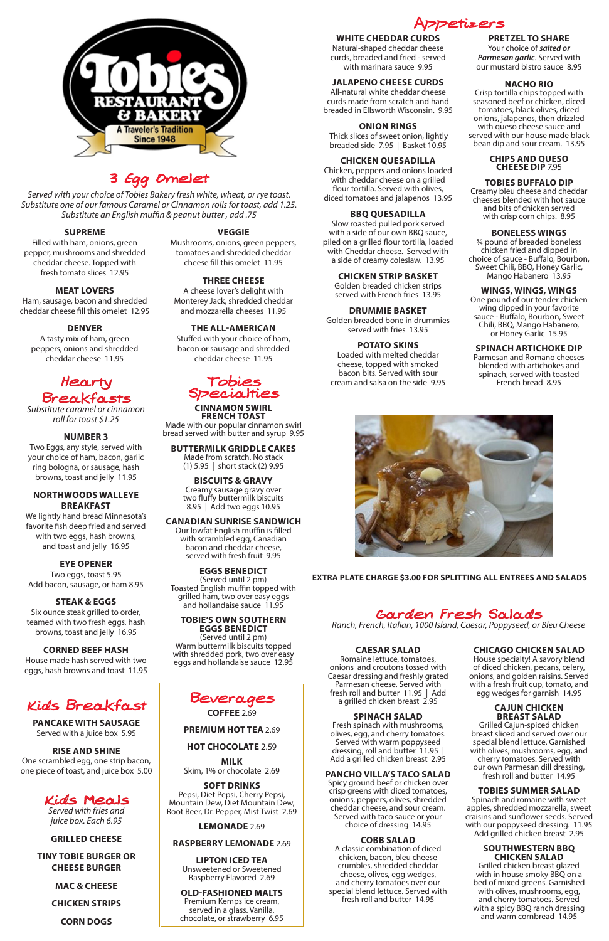# Garden Fresh Salads

*Ranch, French, Italian, 1000 Island, Caesar, Poppyseed, or Bleu Cheese*

# **CAESAR SALAD**

Romaine lettuce, tomatoes, onions and croutons tossed with Caesar dressing and freshly grated Parmesan cheese. Served with

fresh roll and butter 11.95 | Add a grilled chicken breast 2.95

#### **SPINACH SALAD**

Fresh spinach with mushrooms, olives, egg, and cherry tomatoes. Served with warm poppyseed dressing, roll and butter 11.95 | Add a grilled chicken breast 2.95

# **PANCHO VILLA'S TACO SALAD**

Spicy ground beef or chicken over crisp greens with diced tomatoes, onions, peppers, olives, shredded cheddar cheese, and sour cream. Served with taco sauce or your choice of dressing 14.95

#### **COBB SALAD**

A classic combination of diced chicken, bacon, bleu cheese crumbles, shredded cheddar cheese, olives, egg wedges, and cherry tomatoes over our special blend lettuce. Served with fresh roll and butter 14.95

# **CHICAGO CHICKEN SALAD**

House specialty! A savory blend of diced chicken, pecans, celery, onions, and golden raisins. Served with a fresh fruit cup, tomato, and

egg wedges for garnish 14.95

#### **CAJUN CHICKEN BREAST SALAD**

Grilled Cajun-spiced chicken breast sliced and served over our special blend lettuce. Garnished with olives, mushrooms, egg, and cherry tomatoes. Served with our own Parmesan dill dressing, fresh roll and butter 14.95

#### **TOBIES SUMMER SALAD**

Spinach and romaine with sweet apples, shredded mozzarella, sweet craisins and sunflower seeds. Served with our poppyseed dressing. 11.95 Add grilled chicken breast 2.95

#### **SOUTHWESTERN BBQ CHICKEN SALAD**

Grilled chicken breast glazed with in house smoky BBQ on a bed of mixed greens. Garnished with olives, mushrooms, egg, and cherry tomatoes. Served with a spicy BBQ ranch dressing and warm cornbread 14.95

# Hearty Breakfasts

*Substitute caramel or cinnamon roll for toast \$1.25*

# **NUMBER 3**

Two Eggs, any style, served with your choice of ham, bacon, garlic ring bologna, or sausage, hash browns, toast and jelly 11.95

# **NORTHWOODS WALLEYE BREAKFAST**

We lightly hand bread Minnesota's favorite fish deep fried and served with two eggs, hash browns, and toast and jelly 16.95

# **EYE OPENER**

Two eggs, toast 5.95 Add bacon, sausage, or ham 8.95

# **STEAK & EGGS**

Six ounce steak grilled to order, teamed with two fresh eggs, hash browns, toast and jelly 16.95

# **CORNED BEEF HASH**

House made hash served with two eggs, hash browns and toast 11.95

# Appetizers **WHITE CHEDDAR CURDS**

Natural-shaped cheddar cheese curds, breaded and fried - served with marinara sauce 9.95

# **JALAPENO CHEESE CURDS**

All-natural white cheddar cheese curds made from scratch and hand breaded in Ellsworth Wisconsin. 9.95

#### **ONION RINGS**

 Thick slices of sweet onion, lightly breaded side 7.95 | Basket 10.95

#### **CHICKEN QUESADILLA**

Chicken, peppers and onions loaded with cheddar cheese on a grilled flour tortilla. Served with olives, diced tomatoes and jalapenos 13.95

# **BBQ QUESADILLA**

Slow roasted pulled pork served with a side of our own BBQ sauce, piled on a grilled flour tortilla, loaded with Cheddar cheese. Served with a side of creamy coleslaw. 13.95

#### **CHICKEN STRIP BASKET**

Golden breaded chicken strips served with French fries 13.95

**DRUMMIE BASKET** Golden breaded bone in drummies served with fries 13.95

#### **POTATO SKINS**

Loaded with melted cheddar cheese, topped with smoked bacon bits. Served with sour cream and salsa on the side 9.95

# **PRETZEL TO SHARE**

Your choice of *salted or Parmesan garlic*. Served with our mustard bistro sauce 8.95

#### **NACHO RIO**

Crisp tortilla chips topped with seasoned beef or chicken, diced tomatoes, black olives, diced onions, jalapenos, then drizzled with queso cheese sauce and served with our house made black bean dip and sour cream. 13.95

#### **CHIPS AND QUESO CHEESE DIP** 7.95

#### **TOBIES BUFFALO DIP**

Creamy bleu cheese and cheddar cheeses blended with hot sauce and bits of chicken served with crisp corn chips. 8.95

# **BONELESS WINGS**

¾ pound of breaded boneless chicken fried and dipped In choice of sauce - Buffalo, Bourbon, Sweet Chili, BBQ, Honey Garlic, Mango Habanero 13.95

# **WINGS, WINGS, WINGS**

One pound of our tender chicken wing dipped in your favorite sauce - Buffalo, Bourbon, Sweet Chili, BBQ, Mango Habanero, or Honey Garlic 15.95

# **SPINACH ARTICHOKE DIP**

Parmesan and Romano cheeses blended with artichokes and spinach, served with toasted French bread 8.95





**PREMIUM HOT TEA** 2.69

# **HOT CHOCOLATE** 2.59

**MILK** Skim, 1% or chocolate 2.69

# **SOFT DRINKS**

Pepsi, Diet Pepsi, Cherry Pepsi, Mountain Dew, Diet Mountain Dew, Root Beer, Dr. Pepper, Mist Twist 2.69

**LEMONADE** 2.69

# **RASPBERRY LEMONADE** 2.69

**LIPTON ICED TEA** Unsweetened or Sweetened Raspberry Flavored 2.69

# **OLD-FASHIONED MALTS**

Premium Kemps ice cream, served in a glass. Vanilla, chocolate, or strawberry 6.95



# 3 Egg Omelet

*Served with your choice of Tobies Bakery fresh white, wheat, or rye toast. Substitute one of our famous Caramel or Cinnamon rolls for toast, add 1.25. Substitute an English muffin & peanut butter , add .75*

# **SUPREME**

Filled with ham, onions, green pepper, mushrooms and shredded cheddar cheese. Topped with fresh tomato slices 12.95

# **MEAT LOVERS**

Ham, sausage, bacon and shredded cheddar cheese fill this omelet 12.95

# **DENVER**

A tasty mix of ham, green peppers, onions and shredded cheddar cheese 11.95

# **VEGGIE**

Mushrooms, onions, green peppers, tomatoes and shredded cheddar cheese fill this omelet 11.95

# **THREE CHEESE**

A cheese lover's delight with Monterey Jack, shredded cheddar and mozzarella cheeses 11.95

# **THE ALL-AMERICAN**

Stuffed with your choice of ham, bacon or sausage and shredded cheddar cheese 11.95



#### **PANCAKE WITH SAUSAGE**

Served with a juice box 5.95

#### **RISE AND SHINE**

One scrambled egg, one strip bacon, one piece of toast, and juice box 5.00

> Kids Meals *Served with fries and juice box. Each 6.95*

**GRILLED CHEESE**

# **TINY TOBIE BURGER OR CHEESE BURGER**

**MAC & CHEESE**

**CHICKEN STRIPS**

**CORN DOGS**



#### **CINNAMON SWIRL FRENCH TOAST** Made with our popular cinnamon swirl bread served with butter and syrup 9.95

**BUTTERMILK GRIDDLE CAKES** Made from scratch. No stack

(1) 5.95 | short stack (2) 9.95

**BISCUITS & GRAVY** Creamy sausage gravy over two fluffy buttermilk biscuits 8.95 | Add two eggs 10.95

# **CANADIAN SUNRISE SANDWICH**

Our lowfat English muffin is filled with scrambled egg, Canadian bacon and cheddar cheese, served with fresh fruit 9.95

#### **EGGS BENEDICT** (Served until 2 pm)

Toasted English muffin topped with grilled ham, two over easy eggs and hollandaise sauce 11.95

# **TOBIE'S OWN SOUTHERN EGGS BENEDICT**

(Served until 2 pm) Warm buttermilk biscuits topped with shredded pork, two over easy eggs and hollandaise sauce 12.95

# **EXTRA PLATE CHARGE \$3.00 FOR SPLITTING ALL ENTREES AND SALADS**